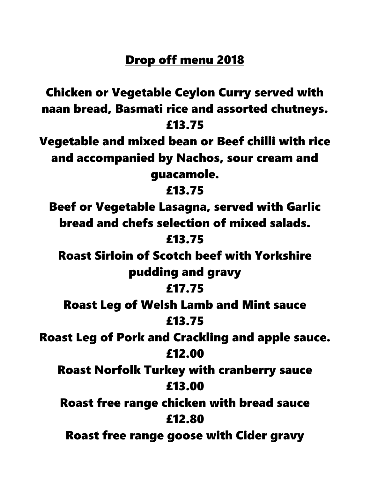## Drop off menu 2018

Chicken or Vegetable Ceylon Curry served with naan bread, Basmati rice and assorted chutneys. £13.75 Vegetable and mixed bean or Beef chilli with rice and accompanied by Nachos, sour cream and guacamole. £13.75 Beef or Vegetable Lasagna, served with Garlic bread and chefs selection of mixed salads. £13.75 Roast Sirloin of Scotch beef with Yorkshire pudding and gravy £17.75 Roast Leg of Welsh Lamb and Mint sauce £13.75 Roast Leg of Pork and Crackling and apple sauce. £12.00 Roast Norfolk Turkey with cranberry sauce £13.00 Roast free range chicken with bread sauce £12.80 Roast free range goose with Cider gravy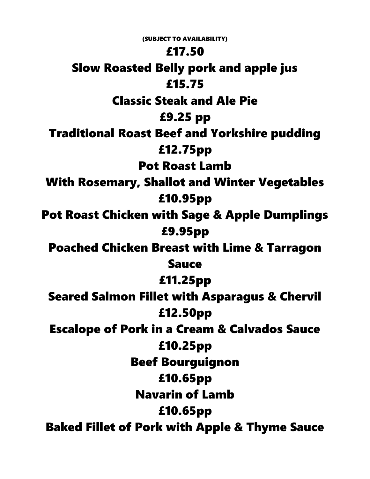(SUBJECT TO AVAILABILITY) £17.50 Slow Roasted Belly pork and apple jus £15.75 Classic Steak and Ale Pie £9.25 pp Traditional Roast Beef and Yorkshire pudding £12.75pp Pot Roast Lamb With Rosemary, Shallot and Winter Vegetables £10.95pp Pot Roast Chicken with Sage & Apple Dumplings £9.95pp Poached Chicken Breast with Lime & Tarragon Sauce £11.25pp Seared Salmon Fillet with Asparagus & Chervil £12.50pp Escalope of Pork in a Cream & Calvados Sauce £10.25pp Beef Bourguignon £10.65pp Navarin of Lamb £10.65pp Baked Fillet of Pork with Apple & Thyme Sauce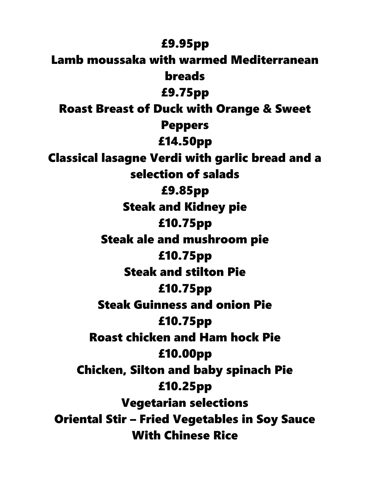£9.95pp Lamb moussaka with warmed Mediterranean breads £9.75pp Roast Breast of Duck with Orange & Sweet Peppers £14.50pp Classical lasagne Verdi with garlic bread and a selection of salads £9.85pp Steak and Kidney pie £10.75pp Steak ale and mushroom pie £10.75pp Steak and stilton Pie £10.75pp Steak Guinness and onion Pie £10.75pp Roast chicken and Ham hock Pie £10.00pp Chicken, Silton and baby spinach Pie £10.25pp Vegetarian selections Oriental Stir – Fried Vegetables in Soy Sauce With Chinese Rice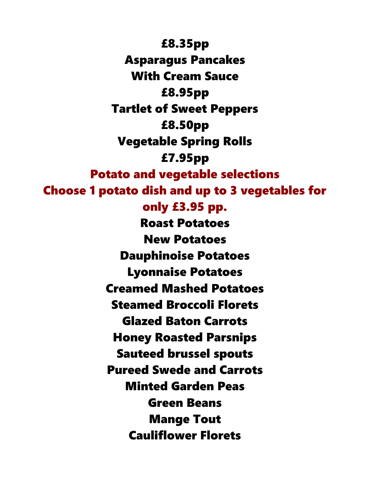£8.35pp Asparagus Pancakes With Cream Sauce £8.95pp Tartlet of Sweet Peppers £8.50pp Vegetable Spring Rolls £7.95pp Potato and vegetable selections Choose 1 potato dish and up to 3 vegetables for only £3.95 pp. Roast Potatoes New Potatoes Dauphinoise Potatoes Lyonnaise Potatoes Creamed Mashed Potatoes Steamed Broccoli Florets Glazed Baton Carrots Honey Roasted Parsnips Sauteed brussel spouts Pureed Swede and Carrots Minted Garden Peas Green Beans Mange Tout Cauliflower Florets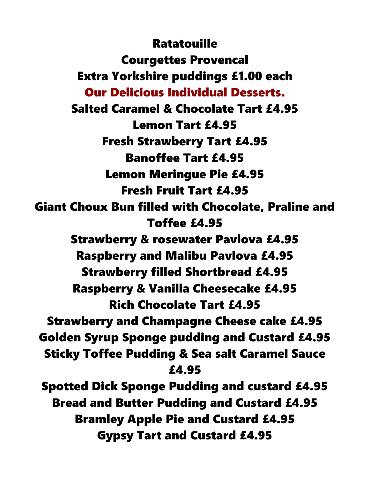**Ratatouille** Courgettes Provencal Extra Yorkshire puddings £1.00 each Our Delicious Individual Desserts. Salted Caramel & Chocolate Tart £4.95 Lemon Tart £4.95 Fresh Strawberry Tart £4.95 Banoffee Tart £4.95 Lemon Meringue Pie £4.95 Fresh Fruit Tart £4.95 Giant Choux Bun filled with Chocolate, Praline and Toffee £4.95 Strawberry & rosewater Pavlova £4.95 Raspberry and Malibu Pavlova £4.95 Strawberry filled Shortbread £4.95 Raspberry & Vanilla Cheesecake £4.95 Rich Chocolate Tart £4.95 Strawberry and Champagne Cheese cake £4.95 Golden Syrup Sponge pudding and Custard £4.95 Sticky Toffee Pudding & Sea salt Caramel Sauce £4.95 Spotted Dick Sponge Pudding and custard £4.95 Bread and Butter Pudding and Custard £4.95 Bramley Apple Pie and Custard £4.95 Gypsy Tart and Custard £4.95